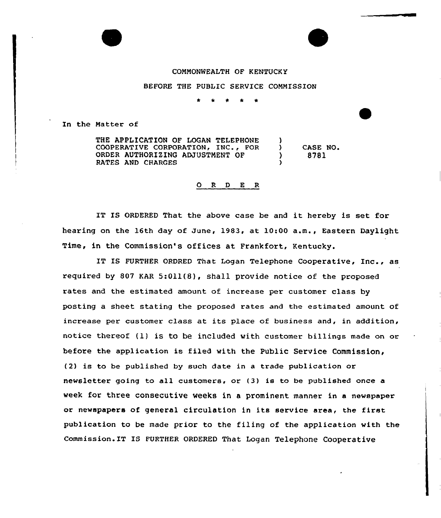## COMMONWEALTH OF KENTUCKY

BEFORE THE PUBLIC SERVICE COMMISSION

In the Matter of

THE APPLICATION OF LOGAN TELEPHONE A. COOPERATIVE CORPORATION, INC., FOR ) CASE NO, ORDER AUTHORIZING ADJUSTMENT OF ) 8781 RATES AND CHARGES )

## 0 <sup>R</sup> <sup>D</sup> E R

IT IS ORDERED That the above case be and it hereby is set fox hearing on the 16th day of June, 1983, at 10:00 a.m., Eastern Daylight Time, in the Commission's offices at Frankfort, Kentucky.

IT IS FURTHER ORDRED That Logan Telephone Cooperative, Inc., as required by 807 KAR 5:Oil(8), shall provide notice of the proposed rates and the estimated amount of increase pex customer class by posting a sheet stating the proposed rates and the estimated amount of increase per customer class at its place of business and, in addition, notice thereof (1) is to be included with customer billings made on or before the application is filed with the Public Service Commission, (2) is to be published by such date in <sup>a</sup> trade publication or newsletter going to all customers, or (3) is to be published once a week for three consecutive weeks in a prominent manner in a newspaper or newspapers of general circulation in its sexvice area, the first publication to be made prior to the filing of the application with the Commission. IT IS FURTHER ORDERED That Logan Telephone Cooperative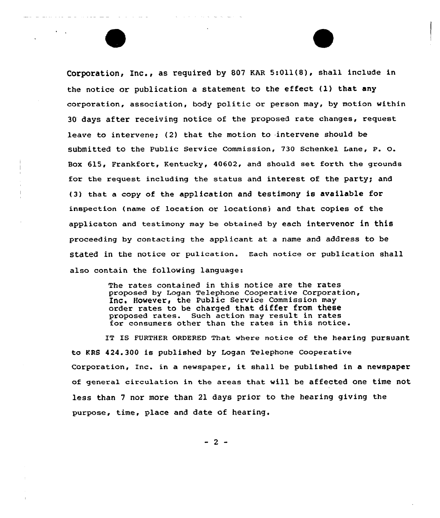Corporation, Inc., as required by 807 EAR 5:Oll(8), shall include in the notice or publication a statement to the effect (1) that any corporation, association, body politic or person may, by motion within 30 days after receiving notice of the proposed rate changes, request leave to intervene: (2) that the motion to intervene should be submitted to the Public Service Commission, 730 Schenkel Lane, P. O. Box 615< Frankfort, Kentucky, 40602, and should set forth the grounds for the request including the status and interest of the party; and (3) that a copy of the application and testimony is available for inspection (name of location or locationsj and that copies of the applicaton and testimony may be obtained by each intervenor in this proceeding by contacting the applicant at a name and address to be stated in the notice or pulication. Each notice or publication shall also contain the following language:

> The rates contained in this notice are the rates proposed by Logan Telephone Cooperative Corporation, Inc. However, the Public Service Commission may order rates to be charged that differ from these proposed rates. Such action may result in rates for consumers other than the rates in this notice.

IT IS FVRTHER ORDERED That where notice of the hearing pursuant to KRS 424.300 is published by Logan Telephone Cooperative Corporation, Inc. in <sup>a</sup> newspaper, it shall be published in <sup>a</sup> newspaper of general circulation in the areas that will be affected one time not less than <sup>7</sup> nor more than 21 days prior to the hearing giving the purpose, time, place and date of hearing.

 $-2 -$